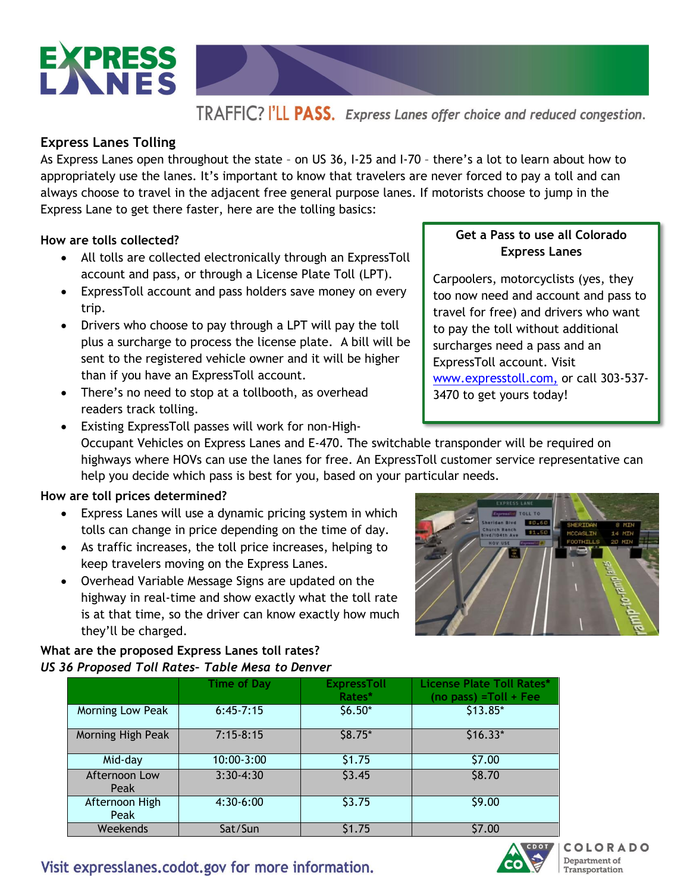

# TRAFFIC? I'LL PASS. Express Lanes offer choice and reduced congestion.

### **Express Lanes Tolling**

As Express Lanes open throughout the state – on US 36, I-25 and I-70 – there's a lot to learn about how to appropriately use the lanes. It's important to know that travelers are never forced to pay a toll and can always choose to travel in the adjacent free general purpose lanes. If motorists choose to jump in the Express Lane to get there faster, here are the tolling basics:

### **How are tolls collected?**

- All tolls are collected electronically through an ExpressToll account and pass, or through a License Plate Toll (LPT).
- ExpressToll account and pass holders save money on every trip.
- Drivers who choose to pay through a LPT will pay the toll plus a surcharge to process the license plate. A bill will be sent to the registered vehicle owner and it will be higher than if you have an ExpressToll account.
- There's no need to stop at a tollbooth, as overhead readers track tolling.
- Existing ExpressToll passes will work for non-High-Occupant Vehicles on Express Lanes and E-470. The switchable transponder will be required on highways where HOVs can use the lanes for free. An ExpressToll customer service representative can help you decide which pass is best for you, based on your particular needs.

### **How are toll prices determined?**

- Express Lanes will use a dynamic pricing system in which tolls can change in price depending on the time of day.
- As traffic increases, the toll price increases, helping to keep travelers moving on the Express Lanes.
- Overhead Variable Message Signs are updated on the highway in real-time and show exactly what the toll rate is at that time, so the driver can know exactly how much they'll be charged.

### **What are the proposed Express Lanes toll rates?**  *US 36 Proposed Toll Rates– Table Mesa to Denver*

|                        | <b>Time of Day</b> | <b>ExpressToll</b><br>Rates* | <b>License Plate Toll Rates*</b><br>$(no pass) = Toll + Fee$ |
|------------------------|--------------------|------------------------------|--------------------------------------------------------------|
| Morning Low Peak       | $6:45-7:15$        | $$6.50*$                     | \$13.85*                                                     |
| Morning High Peak      | $7:15-8:15$        | $$8.75*$                     | $$16.33*$                                                    |
| Mid-day                | 10:00-3:00         | \$1.75                       | \$7.00                                                       |
| Afternoon Low<br>Peak  | $3:30-4:30$        | \$3.45                       | \$8.70                                                       |
| Afternoon High<br>Peak | 4:30-6:00          | \$3.75                       | \$9.00                                                       |
| Weekends               | Sat/Sun            | \$1.75                       | \$7.00                                                       |

## **Get a Pass to use all Colorado Express Lanes**

Carpoolers, motorcyclists (yes, they too now need and account and pass to travel for free) and drivers who want to pay the toll without additional surcharges need a pass and an ExpressToll account. Visit [www.expresstoll.com,](http://www.expresstoll.com/) or call 303-537- 3470 to get yours today!



Visit expresslanes.codot.gov for more information.